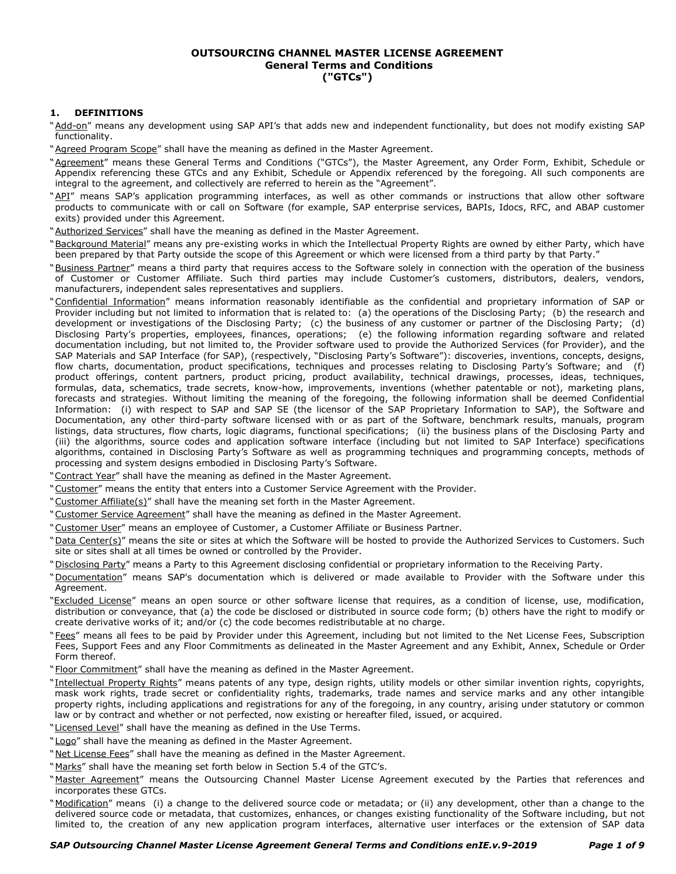### **OUTSOURCING CHANNEL MASTER LICENSE AGREEMENT General Terms and Conditions ("GTCs")**

## **1. DEFINITIONS**

"Add-on" means any development using SAP API's that adds new and independent functionality, but does not modify existing SAP functionality.

- "Agreed Program Scope" shall have the meaning as defined in the Master Agreement.
- "Agreement" means these General Terms and Conditions ("GTCs"), the Master Agreement, any Order Form, Exhibit, Schedule or Appendix referencing these GTCs and any Exhibit, Schedule or Appendix referenced by the foregoing. All such components are integral to the agreement, and collectively are referred to herein as the "Agreement".
- "API" means SAP's application programming interfaces, as well as other commands or instructions that allow other software products to communicate with or call on Software (for example, SAP enterprise services, BAPIs, Idocs, RFC, and ABAP customer exits) provided under this Agreement.
- "Authorized Services" shall have the meaning as defined in the Master Agreement.
- "Background Material" means any pre-existing works in which the Intellectual Property Rights are owned by either Party, which have been prepared by that Party outside the scope of this Agreement or which were licensed from a third party by that Party."
- "Business Partner" means a third party that requires access to the Software solely in connection with the operation of the business of Customer or Customer Affiliate. Such third parties may include Customer's customers, distributors, dealers, vendors, manufacturers, independent sales representatives and suppliers.
- "Confidential Information" means information reasonably identifiable as the confidential and proprietary information of SAP or Provider including but not limited to information that is related to: (a) the operations of the Disclosing Party; (b) the research and development or investigations of the Disclosing Party; (c) the business of any customer or partner of the Disclosing Party; (d) Disclosing Party's properties, employees, finances, operations; (e) the following information regarding software and related documentation including, but not limited to, the Provider software used to provide the Authorized Services (for Provider), and the SAP Materials and SAP Interface (for SAP), (respectively, "Disclosing Party's Software"): discoveries, inventions, concepts, designs, flow charts, documentation, product specifications, techniques and processes relating to Disclosing Party's Software; and (f) product offerings, content partners, product pricing, product availability, technical drawings, processes, ideas, techniques, formulas, data, schematics, trade secrets, know-how, improvements, inventions (whether patentable or not), marketing plans, forecasts and strategies. Without limiting the meaning of the foregoing, the following information shall be deemed Confidential Information: (i) with respect to SAP and SAP SE (the licensor of the SAP Proprietary Information to SAP), the Software and Documentation, any other third-party software licensed with or as part of the Software, benchmark results, manuals, program listings, data structures, flow charts, logic diagrams, functional specifications; (ii) the business plans of the Disclosing Party and (iii) the algorithms, source codes and application software interface (including but not limited to SAP Interface) specifications algorithms, contained in Disclosing Party's Software as well as programming techniques and programming concepts, methods of processing and system designs embodied in Disclosing Party's Software.
- "Contract Year" shall have the meaning as defined in the Master Agreement.
- "Customer" means the entity that enters into a Customer Service Agreement with the Provider.
- "Customer Affiliate(s)" shall have the meaning set forth in the Master Agreement.
- "Customer Service Agreement" shall have the meaning as defined in the Master Agreement.
- "Customer User" means an employee of Customer, a Customer Affiliate or Business Partner.
- "Data Center(s)" means the site or sites at which the Software will be hosted to provide the Authorized Services to Customers. Such site or sites shall at all times be owned or controlled by the Provider.
- "Disclosing Party" means a Party to this Agreement disclosing confidential or proprietary information to the Receiving Party.
- "Documentation" means SAP's documentation which is delivered or made available to Provider with the Software under this Agreement.
- "Excluded License" means an open source or other software license that requires, as a condition of license, use, modification, distribution or conveyance, that (a) the code be disclosed or distributed in source code form; (b) others have the right to modify or create derivative works of it; and/or (c) the code becomes redistributable at no charge.
- "Fees" means all fees to be paid by Provider under this Agreement, including but not limited to the Net License Fees, Subscription Fees, Support Fees and any Floor Commitments as delineated in the Master Agreement and any Exhibit, Annex, Schedule or Order Form thereof.
- "Floor Commitment" shall have the meaning as defined in the Master Agreement.
- "Intellectual Property Rights" means patents of any type, design rights, utility models or other similar invention rights, copyrights, mask work rights, trade secret or confidentiality rights, trademarks, trade names and service marks and any other intangible property rights, including applications and registrations for any of the foregoing, in any country, arising under statutory or common law or by contract and whether or not perfected, now existing or hereafter filed, issued, or acquired.
- "Licensed Level" shall have the meaning as defined in the Use Terms.
- "Logo" shall have the meaning as defined in the Master Agreement.
- "Net License Fees" shall have the meaning as defined in the Master Agreement.
- "Marks" shall have the meaning set forth below in Section 5.4 of the GTC's.
- "Master Agreement" means the Outsourcing Channel Master License Agreement executed by the Parties that references and incorporates these GTCs.
- "Modification" means (i) a change to the delivered source code or metadata; or (ii) any development, other than a change to the delivered source code or metadata, that customizes, enhances, or changes existing functionality of the Software including, but not limited to, the creation of any new application program interfaces, alternative user interfaces or the extension of SAP data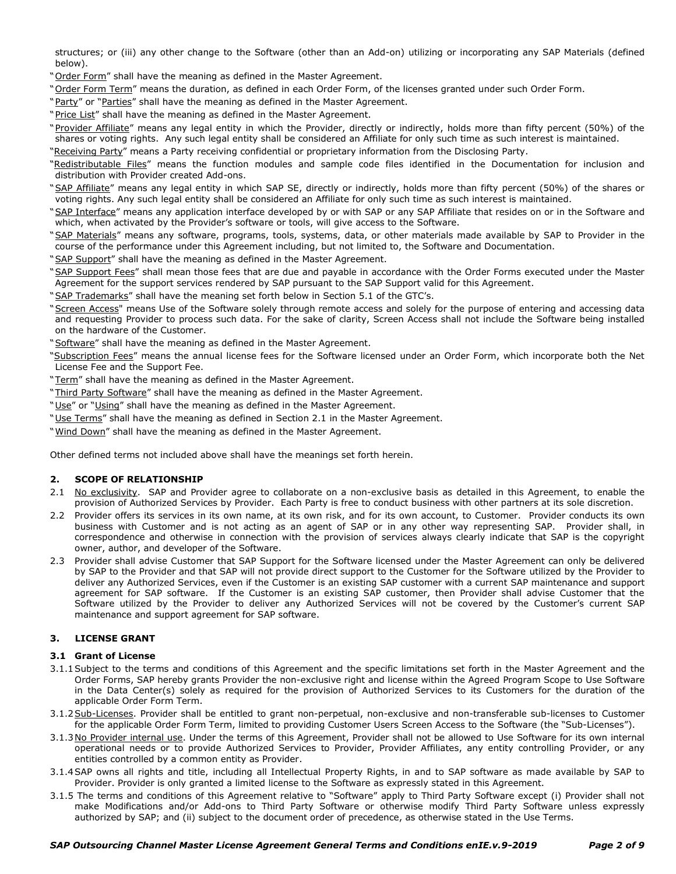structures; or (iii) any other change to the Software (other than an Add-on) utilizing or incorporating any SAP Materials (defined below).

"Order Form" shall have the meaning as defined in the Master Agreement.

"Order Form Term" means the duration, as defined in each Order Form, of the licenses granted under such Order Form.

"Party" or "Parties" shall have the meaning as defined in the Master Agreement.

"Price List" shall have the meaning as defined in the Master Agreement.

"Provider Affiliate" means any legal entity in which the Provider, directly or indirectly, holds more than fifty percent (50%) of the shares or voting rights. Any such legal entity shall be considered an Affiliate for only such time as such interest is maintained.

"Receiving Party" means a Party receiving confidential or proprietary information from the Disclosing Party.

"Redistributable Files" means the function modules and sample code files identified in the Documentation for inclusion and distribution with Provider created Add-ons.

"SAP Affiliate" means any legal entity in which SAP SE, directly or indirectly, holds more than fifty percent (50%) of the shares or voting rights. Any such legal entity shall be considered an Affiliate for only such time as such interest is maintained.

"SAP Interface" means any application interface developed by or with SAP or any SAP Affiliate that resides on or in the Software and which, when activated by the Provider's software or tools, will give access to the Software.

"SAP Materials" means any software, programs, tools, systems, data, or other materials made available by SAP to Provider in the course of the performance under this Agreement including, but not limited to, the Software and Documentation.

"SAP Support" shall have the meaning as defined in the Master Agreement.

"SAP Support Fees" shall mean those fees that are due and payable in accordance with the Order Forms executed under the Master Agreement for the support services rendered by SAP pursuant to the SAP Support valid for this Agreement.

"SAP Trademarks" shall have the meaning set forth below in Section 5.1 of the GTC's.

"Screen Access" means Use of the Software solely through remote access and solely for the purpose of entering and accessing data and requesting Provider to process such data. For the sake of clarity, Screen Access shall not include the Software being installed on the hardware of the Customer.

"Software" shall have the meaning as defined in the Master Agreement.

"Subscription Fees" means the annual license fees for the Software licensed under an Order Form, which incorporate both the Net License Fee and the Support Fee.

"Term" shall have the meaning as defined in the Master Agreement.

"Third Party Software" shall have the meaning as defined in the Master Agreement.

"Use" or "Using" shall have the meaning as defined in the Master Agreement.

"Use Terms" shall have the meaning as defined in Section 2.1 in the Master Agreement.

"Wind Down" shall have the meaning as defined in the Master Agreement.

Other defined terms not included above shall have the meanings set forth herein.

# **2. SCOPE OF RELATIONSHIP**

- 2.1 No exclusivity. SAP and Provider agree to collaborate on a non-exclusive basis as detailed in this Agreement, to enable the provision of Authorized Services by Provider. Each Party is free to conduct business with other partners at its sole discretion.
- 2.2 Provider offers its services in its own name, at its own risk, and for its own account, to Customer. Provider conducts its own business with Customer and is not acting as an agent of SAP or in any other way representing SAP. Provider shall, in correspondence and otherwise in connection with the provision of services always clearly indicate that SAP is the copyright owner, author, and developer of the Software.
- 2.3 Provider shall advise Customer that SAP Support for the Software licensed under the Master Agreement can only be delivered by SAP to the Provider and that SAP will not provide direct support to the Customer for the Software utilized by the Provider to deliver any Authorized Services, even if the Customer is an existing SAP customer with a current SAP maintenance and support agreement for SAP software. If the Customer is an existing SAP customer, then Provider shall advise Customer that the Software utilized by the Provider to deliver any Authorized Services will not be covered by the Customer's current SAP maintenance and support agreement for SAP software.

#### **3. LICENSE GRANT**

### **3.1 Grant of License**

- 3.1.1Subject to the terms and conditions of this Agreement and the specific limitations set forth in the Master Agreement and the Order Forms, SAP hereby grants Provider the non-exclusive right and license within the Agreed Program Scope to Use Software in the Data Center(s) solely as required for the provision of Authorized Services to its Customers for the duration of the applicable Order Form Term.
- 3.1.2Sub-Licenses. Provider shall be entitled to grant non-perpetual, non-exclusive and non-transferable sub-licenses to Customer for the applicable Order Form Term, limited to providing Customer Users Screen Access to the Software (the "Sub-Licenses").
- 3.1.3No Provider internal use. Under the terms of this Agreement, Provider shall not be allowed to Use Software for its own internal operational needs or to provide Authorized Services to Provider, Provider Affiliates, any entity controlling Provider, or any entities controlled by a common entity as Provider.
- 3.1.4SAP owns all rights and title, including all Intellectual Property Rights, in and to SAP software as made available by SAP to Provider. Provider is only granted a limited license to the Software as expressly stated in this Agreement.
- 3.1.5 The terms and conditions of this Agreement relative to "Software" apply to Third Party Software except (i) Provider shall not make Modifications and/or Add-ons to Third Party Software or otherwise modify Third Party Software unless expressly authorized by SAP; and (ii) subject to the document order of precedence, as otherwise stated in the Use Terms.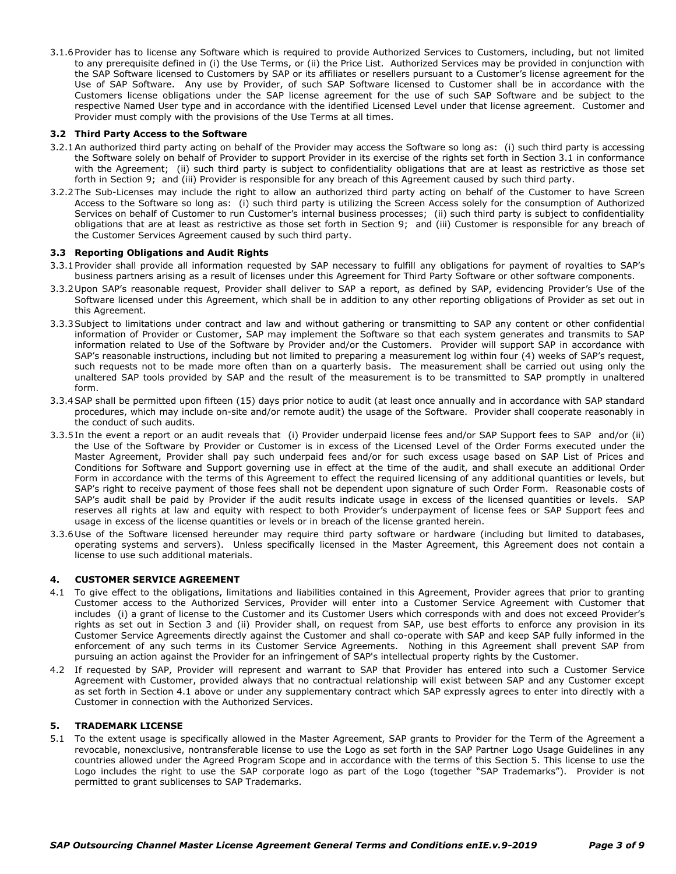3.1.6Provider has to license any Software which is required to provide Authorized Services to Customers, including, but not limited to any prerequisite defined in (i) the Use Terms, or (ii) the Price List. Authorized Services may be provided in conjunction with the SAP Software licensed to Customers by SAP or its affiliates or resellers pursuant to a Customer's license agreement for the Use of SAP Software. Any use by Provider, of such SAP Software licensed to Customer shall be in accordance with the Customers license obligations under the SAP license agreement for the use of such SAP Software and be subject to the respective Named User type and in accordance with the identified Licensed Level under that license agreement. Customer and Provider must comply with the provisions of the Use Terms at all times.

### **3.2 Third Party Access to the Software**

- 3.2.1An authorized third party acting on behalf of the Provider may access the Software so long as: (i) such third party is accessing the Software solely on behalf of Provider to support Provider in its exercise of the rights set forth in Section 3.1 in conformance with the Agreement; (ii) such third party is subject to confidentiality obligations that are at least as restrictive as those set forth in Section 9; and (iii) Provider is responsible for any breach of this Agreement caused by such third party.
- 3.2.2The Sub-Licenses may include the right to allow an authorized third party acting on behalf of the Customer to have Screen Access to the Software so long as: (i) such third party is utilizing the Screen Access solely for the consumption of Authorized Services on behalf of Customer to run Customer's internal business processes; (ii) such third party is subject to confidentiality obligations that are at least as restrictive as those set forth in Section 9; and (iii) Customer is responsible for any breach of the Customer Services Agreement caused by such third party.

#### **3.3 Reporting Obligations and Audit Rights**

- 3.3.1Provider shall provide all information requested by SAP necessary to fulfill any obligations for payment of royalties to SAP's business partners arising as a result of licenses under this Agreement for Third Party Software or other software components.
- 3.3.2Upon SAP's reasonable request, Provider shall deliver to SAP a report, as defined by SAP, evidencing Provider's Use of the Software licensed under this Agreement, which shall be in addition to any other reporting obligations of Provider as set out in this Agreement.
- 3.3.3Subject to limitations under contract and law and without gathering or transmitting to SAP any content or other confidential information of Provider or Customer, SAP may implement the Software so that each system generates and transmits to SAP information related to Use of the Software by Provider and/or the Customers. Provider will support SAP in accordance with SAP's reasonable instructions, including but not limited to preparing a measurement log within four (4) weeks of SAP's request, such requests not to be made more often than on a quarterly basis. The measurement shall be carried out using only the unaltered SAP tools provided by SAP and the result of the measurement is to be transmitted to SAP promptly in unaltered form.
- 3.3.4SAP shall be permitted upon fifteen (15) days prior notice to audit (at least once annually and in accordance with SAP standard procedures, which may include on-site and/or remote audit) the usage of the Software. Provider shall cooperate reasonably in the conduct of such audits.
- 3.3.5In the event a report or an audit reveals that (i) Provider underpaid license fees and/or SAP Support fees to SAP and/or (ii) the Use of the Software by Provider or Customer is in excess of the Licensed Level of the Order Forms executed under the Master Agreement, Provider shall pay such underpaid fees and/or for such excess usage based on SAP List of Prices and Conditions for Software and Support governing use in effect at the time of the audit, and shall execute an additional Order Form in accordance with the terms of this Agreement to effect the required licensing of any additional quantities or levels, but SAP's right to receive payment of those fees shall not be dependent upon signature of such Order Form. Reasonable costs of SAP's audit shall be paid by Provider if the audit results indicate usage in excess of the licensed quantities or levels. SAP reserves all rights at law and equity with respect to both Provider's underpayment of license fees or SAP Support fees and usage in excess of the license quantities or levels or in breach of the license granted herein.
- 3.3.6Use of the Software licensed hereunder may require third party software or hardware (including but limited to databases, operating systems and servers). Unless specifically licensed in the Master Agreement, this Agreement does not contain a license to use such additional materials.

## **4. CUSTOMER SERVICE AGREEMENT**

- 4.1 To give effect to the obligations, limitations and liabilities contained in this Agreement, Provider agrees that prior to granting Customer access to the Authorized Services, Provider will enter into a Customer Service Agreement with Customer that includes (i) a grant of license to the Customer and its Customer Users which corresponds with and does not exceed Provider's rights as set out in Section 3 and (ii) Provider shall, on request from SAP, use best efforts to enforce any provision in its Customer Service Agreements directly against the Customer and shall co-operate with SAP and keep SAP fully informed in the enforcement of any such terms in its Customer Service Agreements. Nothing in this Agreement shall prevent SAP from pursuing an action against the Provider for an infringement of SAP's intellectual property rights by the Customer.
- 4.2 If requested by SAP, Provider will represent and warrant to SAP that Provider has entered into such a Customer Service Agreement with Customer, provided always that no contractual relationship will exist between SAP and any Customer except as set forth in Section 4.1 above or under any supplementary contract which SAP expressly agrees to enter into directly with a Customer in connection with the Authorized Services.

#### **5. TRADEMARK LICENSE**

5.1 To the extent usage is specifically allowed in the Master Agreement, SAP grants to Provider for the Term of the Agreement a revocable, nonexclusive, nontransferable license to use the Logo as set forth in the SAP Partner Logo Usage Guidelines in any countries allowed under the Agreed Program Scope and in accordance with the terms of this Section 5. This license to use the Logo includes the right to use the SAP corporate logo as part of the Logo (together "SAP Trademarks"). Provider is not permitted to grant sublicenses to SAP Trademarks.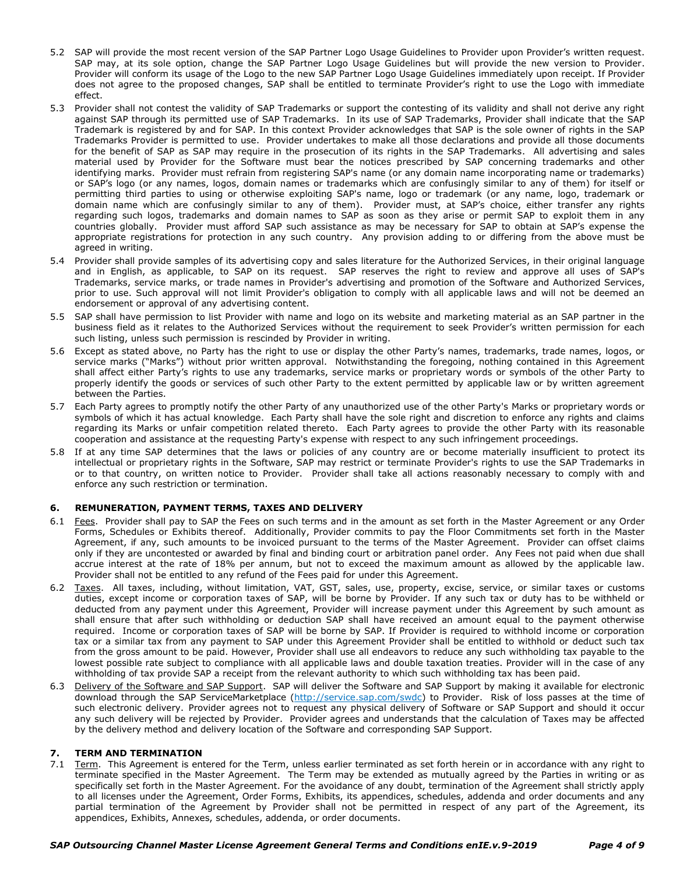- 5.2 SAP will provide the most recent version of the SAP Partner Logo Usage Guidelines to Provider upon Provider's written request. SAP may, at its sole option, change the SAP Partner Logo Usage Guidelines but will provide the new version to Provider. Provider will conform its usage of the Logo to the new SAP Partner Logo Usage Guidelines immediately upon receipt. If Provider does not agree to the proposed changes, SAP shall be entitled to terminate Provider's right to use the Logo with immediate effect.
- 5.3 Provider shall not contest the validity of SAP Trademarks or support the contesting of its validity and shall not derive any right against SAP through its permitted use of SAP Trademarks. In its use of SAP Trademarks, Provider shall indicate that the SAP Trademark is registered by and for SAP. In this context Provider acknowledges that SAP is the sole owner of rights in the SAP Trademarks Provider is permitted to use. Provider undertakes to make all those declarations and provide all those documents for the benefit of SAP as SAP may require in the prosecution of its rights in the SAP Trademarks. All advertising and sales material used by Provider for the Software must bear the notices prescribed by SAP concerning trademarks and other identifying marks. Provider must refrain from registering SAP's name (or any domain name incorporating name or trademarks) or SAP's logo (or any names, logos, domain names or trademarks which are confusingly similar to any of them) for itself or permitting third parties to using or otherwise exploiting SAP's name, logo or trademark (or any name, logo, trademark or domain name which are confusingly similar to any of them). Provider must, at SAP's choice, either transfer any rights regarding such logos, trademarks and domain names to SAP as soon as they arise or permit SAP to exploit them in any countries globally. Provider must afford SAP such assistance as may be necessary for SAP to obtain at SAP's expense the appropriate registrations for protection in any such country. Any provision adding to or differing from the above must be agreed in writing.
- 5.4 Provider shall provide samples of its advertising copy and sales literature for the Authorized Services, in their original language and in English, as applicable, to SAP on its request. SAP reserves the right to review and approve all uses of SAP's Trademarks, service marks, or trade names in Provider's advertising and promotion of the Software and Authorized Services, prior to use. Such approval will not limit Provider's obligation to comply with all applicable laws and will not be deemed an endorsement or approval of any advertising content.
- 5.5 SAP shall have permission to list Provider with name and logo on its website and marketing material as an SAP partner in the business field as it relates to the Authorized Services without the requirement to seek Provider's written permission for each such listing, unless such permission is rescinded by Provider in writing.
- 5.6 Except as stated above, no Party has the right to use or display the other Party's names, trademarks, trade names, logos, or service marks ("Marks") without prior written approval. Notwithstanding the foregoing, nothing contained in this Agreement shall affect either Party's rights to use any trademarks, service marks or proprietary words or symbols of the other Party to properly identify the goods or services of such other Party to the extent permitted by applicable law or by written agreement between the Parties.
- 5.7 Each Party agrees to promptly notify the other Party of any unauthorized use of the other Party's Marks or proprietary words or symbols of which it has actual knowledge. Each Party shall have the sole right and discretion to enforce any rights and claims regarding its Marks or unfair competition related thereto. Each Party agrees to provide the other Party with its reasonable cooperation and assistance at the requesting Party's expense with respect to any such infringement proceedings.
- 5.8 If at any time SAP determines that the laws or policies of any country are or become materially insufficient to protect its intellectual or proprietary rights in the Software, SAP may restrict or terminate Provider's rights to use the SAP Trademarks in or to that country, on written notice to Provider. Provider shall take all actions reasonably necessary to comply with and enforce any such restriction or termination.

## **6. REMUNERATION, PAYMENT TERMS, TAXES AND DELIVERY**

- 6.1 Fees. Provider shall pay to SAP the Fees on such terms and in the amount as set forth in the Master Agreement or any Order Forms, Schedules or Exhibits thereof. Additionally, Provider commits to pay the Floor Commitments set forth in the Master Agreement, if any, such amounts to be invoiced pursuant to the terms of the Master Agreement. Provider can offset claims only if they are uncontested or awarded by final and binding court or arbitration panel order. Any Fees not paid when due shall accrue interest at the rate of 18% per annum, but not to exceed the maximum amount as allowed by the applicable law. Provider shall not be entitled to any refund of the Fees paid for under this Agreement.
- 6.2 Taxes. All taxes, including, without limitation, VAT, GST, sales, use, property, excise, service, or similar taxes or customs duties, except income or corporation taxes of SAP, will be borne by Provider. If any such tax or duty has to be withheld or deducted from any payment under this Agreement, Provider will increase payment under this Agreement by such amount as shall ensure that after such withholding or deduction SAP shall have received an amount equal to the payment otherwise required. Income or corporation taxes of SAP will be borne by SAP. If Provider is required to withhold income or corporation tax or a similar tax from any payment to SAP under this Agreement Provider shall be entitled to withhold or deduct such tax from the gross amount to be paid. However, Provider shall use all endeavors to reduce any such withholding tax payable to the lowest possible rate subject to compliance with all applicable laws and double taxation treaties. Provider will in the case of any withholding of tax provide SAP a receipt from the relevant authority to which such withholding tax has been paid.
- 6.3 Delivery of the Software and SAP Support. SAP will deliver the Software and SAP Support by making it available for electronic download through the SAP ServiceMarketplace (http://service.sap.com/swdc) to Provider. Risk of loss passes at the time of such electronic delivery. Provider agrees not to request any physical delivery of Software or SAP Support and should it occur any such delivery will be rejected by Provider. Provider agrees and understands that the calculation of Taxes may be affected by the delivery method and delivery location of the Software and corresponding SAP Support.

#### **7. TERM AND TERMINATION**

7.1 Term. This Agreement is entered for the Term, unless earlier terminated as set forth herein or in accordance with any right to terminate specified in the Master Agreement. The Term may be extended as mutually agreed by the Parties in writing or as specifically set forth in the Master Agreement. For the avoidance of any doubt, termination of the Agreement shall strictly apply to all licenses under the Agreement, Order Forms, Exhibits, its appendices, schedules, addenda and order documents and any partial termination of the Agreement by Provider shall not be permitted in respect of any part of the Agreement, its appendices, Exhibits, Annexes, schedules, addenda, or order documents.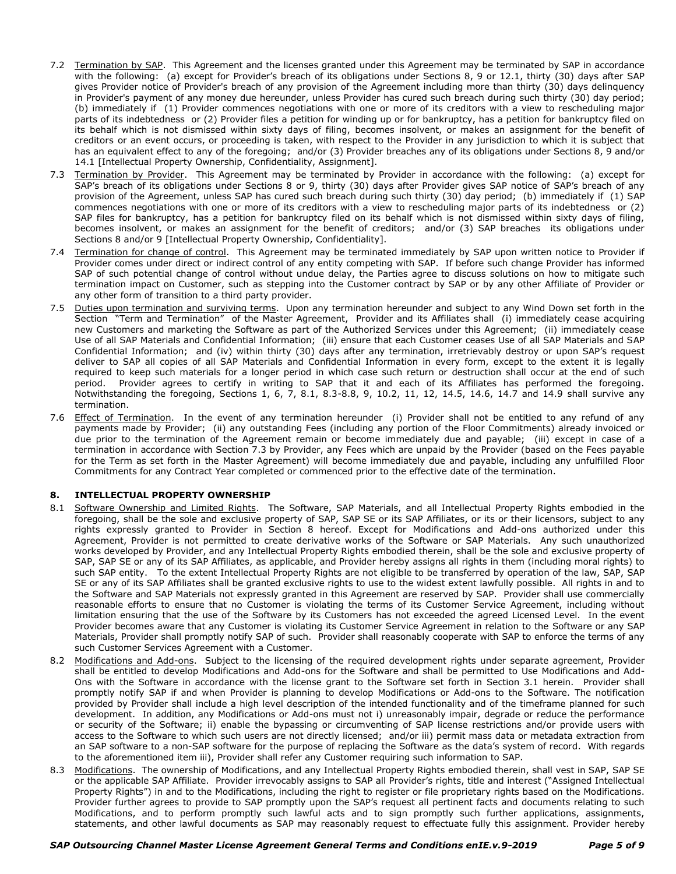- 7.2 Termination by SAP. This Agreement and the licenses granted under this Agreement may be terminated by SAP in accordance with the following: (a) except for Provider's breach of its obligations under Sections 8, 9 or 12.1, thirty (30) days after SAP gives Provider notice of Provider's breach of any provision of the Agreement including more than thirty (30) days delinquency in Provider's payment of any money due hereunder, unless Provider has cured such breach during such thirty (30) day period; (b) immediately if (1) Provider commences negotiations with one or more of its creditors with a view to rescheduling major parts of its indebtedness or (2) Provider files a petition for winding up or for bankruptcy, has a petition for bankruptcy filed on its behalf which is not dismissed within sixty days of filing, becomes insolvent, or makes an assignment for the benefit of creditors or an event occurs, or proceeding is taken, with respect to the Provider in any jurisdiction to which it is subject that has an equivalent effect to any of the foregoing; and/or (3) Provider breaches any of its obligations under Sections 8, 9 and/or 14.1 [Intellectual Property Ownership, Confidentiality, Assignment].
- 7.3 Termination by Provider. This Agreement may be terminated by Provider in accordance with the following: (a) except for SAP's breach of its obligations under Sections 8 or 9, thirty (30) days after Provider gives SAP notice of SAP's breach of any provision of the Agreement, unless SAP has cured such breach during such thirty (30) day period; (b) immediately if (1) SAP commences negotiations with one or more of its creditors with a view to rescheduling major parts of its indebtedness or (2) SAP files for bankruptcy, has a petition for bankruptcy filed on its behalf which is not dismissed within sixty days of filing, becomes insolvent, or makes an assignment for the benefit of creditors; and/or (3) SAP breaches its obligations under Sections 8 and/or 9 [Intellectual Property Ownership, Confidentiality].
- 7.4 Termination for change of control. This Agreement may be terminated immediately by SAP upon written notice to Provider if Provider comes under direct or indirect control of any entity competing with SAP. If before such change Provider has informed SAP of such potential change of control without undue delay, the Parties agree to discuss solutions on how to mitigate such termination impact on Customer, such as stepping into the Customer contract by SAP or by any other Affiliate of Provider or any other form of transition to a third party provider.
- 7.5 Duties upon termination and surviving terms. Upon any termination hereunder and subject to any Wind Down set forth in the Section "Term and Termination" of the Master Agreement, Provider and its Affiliates shall (i) immediately cease acquiring new Customers and marketing the Software as part of the Authorized Services under this Agreement; (ii) immediately cease Use of all SAP Materials and Confidential Information; (iii) ensure that each Customer ceases Use of all SAP Materials and SAP Confidential Information; and (iv) within thirty (30) days after any termination, irretrievably destroy or upon SAP's request deliver to SAP all copies of all SAP Materials and Confidential Information in every form, except to the extent it is legally required to keep such materials for a longer period in which case such return or destruction shall occur at the end of such period. Provider agrees to certify in writing to SAP that it and each of its Affiliates has performed the foregoing. Notwithstanding the foregoing, Sections 1, 6, 7, 8.1, 8.3-8.8, 9, 10.2, 11, 12, 14.5, 14.6, 14.7 and 14.9 shall survive any termination.
- 7.6 Effect of Termination. In the event of any termination hereunder (i) Provider shall not be entitled to any refund of any payments made by Provider; (ii) any outstanding Fees (including any portion of the Floor Commitments) already invoiced or due prior to the termination of the Agreement remain or become immediately due and payable; (iii) except in case of a termination in accordance with Section 7.3 by Provider, any Fees which are unpaid by the Provider (based on the Fees payable for the Term as set forth in the Master Agreement) will become immediately due and payable, including any unfulfilled Floor Commitments for any Contract Year completed or commenced prior to the effective date of the termination.

## **8. INTELLECTUAL PROPERTY OWNERSHIP**

- 8.1 Software Ownership and Limited Rights. The Software, SAP Materials, and all Intellectual Property Rights embodied in the foregoing, shall be the sole and exclusive property of SAP, SAP SE or its SAP Affiliates, or its or their licensors, subject to any rights expressly granted to Provider in Section 8 hereof. Except for Modifications and Add-ons authorized under this Agreement, Provider is not permitted to create derivative works of the Software or SAP Materials. Any such unauthorized works developed by Provider, and any Intellectual Property Rights embodied therein, shall be the sole and exclusive property of SAP, SAP SE or any of its SAP Affiliates, as applicable, and Provider hereby assigns all rights in them (including moral rights) to such SAP entity. To the extent Intellectual Property Rights are not eligible to be transferred by operation of the law, SAP, SAP SE or any of its SAP Affiliates shall be granted exclusive rights to use to the widest extent lawfully possible. All rights in and to the Software and SAP Materials not expressly granted in this Agreement are reserved by SAP. Provider shall use commercially reasonable efforts to ensure that no Customer is violating the terms of its Customer Service Agreement, including without limitation ensuring that the use of the Software by its Customers has not exceeded the agreed Licensed Level. In the event Provider becomes aware that any Customer is violating its Customer Service Agreement in relation to the Software or any SAP Materials, Provider shall promptly notify SAP of such. Provider shall reasonably cooperate with SAP to enforce the terms of any such Customer Services Agreement with a Customer.
- 8.2 Modifications and Add-ons. Subject to the licensing of the required development rights under separate agreement, Provider shall be entitled to develop Modifications and Add-ons for the Software and shall be permitted to Use Modifications and Add-Ons with the Software in accordance with the license grant to the Software set forth in Section 3.1 herein. Provider shall promptly notify SAP if and when Provider is planning to develop Modifications or Add-ons to the Software. The notification provided by Provider shall include a high level description of the intended functionality and of the timeframe planned for such development. In addition, any Modifications or Add-ons must not i) unreasonably impair, degrade or reduce the performance or security of the Software; ii) enable the bypassing or circumventing of SAP license restrictions and/or provide users with access to the Software to which such users are not directly licensed; and/or iii) permit mass data or metadata extraction from an SAP software to a non-SAP software for the purpose of replacing the Software as the data's system of record. With regards to the aforementioned item iii), Provider shall refer any Customer requiring such information to SAP.
- 8.3 Modifications. The ownership of Modifications, and any Intellectual Property Rights embodied therein, shall vest in SAP, SAP SE or the applicable SAP Affiliate. Provider irrevocably assigns to SAP all Provider's rights, title and interest ("Assigned Intellectual Property Rights") in and to the Modifications, including the right to register or file proprietary rights based on the Modifications. Provider further agrees to provide to SAP promptly upon the SAP's request all pertinent facts and documents relating to such Modifications, and to perform promptly such lawful acts and to sign promptly such further applications, assignments, statements, and other lawful documents as SAP may reasonably request to effectuate fully this assignment. Provider hereby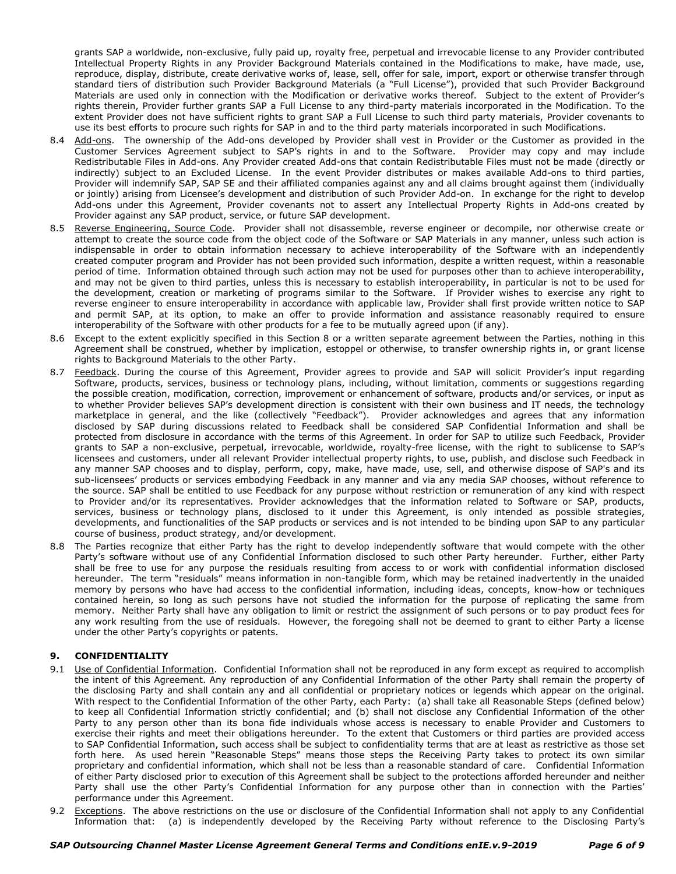grants SAP a worldwide, non-exclusive, fully paid up, royalty free, perpetual and irrevocable license to any Provider contributed Intellectual Property Rights in any Provider Background Materials contained in the Modifications to make, have made, use, reproduce, display, distribute, create derivative works of, lease, sell, offer for sale, import, export or otherwise transfer through standard tiers of distribution such Provider Background Materials (a "Full License"), provided that such Provider Background Materials are used only in connection with the Modification or derivative works thereof. Subject to the extent of Provider's rights therein, Provider further grants SAP a Full License to any third-party materials incorporated in the Modification. To the extent Provider does not have sufficient rights to grant SAP a Full License to such third party materials, Provider covenants to use its best efforts to procure such rights for SAP in and to the third party materials incorporated in such Modifications.

- 8.4 Add-ons. The ownership of the Add-ons developed by Provider shall vest in Provider or the Customer as provided in the Customer Services Agreement subject to SAP's rights in and to the Software. Provider may copy and may include Redistributable Files in Add-ons. Any Provider created Add-ons that contain Redistributable Files must not be made (directly or indirectly) subject to an Excluded License. In the event Provider distributes or makes available Add-ons to third parties, Provider will indemnify SAP, SAP SE and their affiliated companies against any and all claims brought against them (individually or jointly) arising from Licensee's development and distribution of such Provider Add-on. In exchange for the right to develop Add-ons under this Agreement, Provider covenants not to assert any Intellectual Property Rights in Add-ons created by Provider against any SAP product, service, or future SAP development.
- 8.5 Reverse Engineering, Source Code. Provider shall not disassemble, reverse engineer or decompile, nor otherwise create or attempt to create the source code from the object code of the Software or SAP Materials in any manner, unless such action is indispensable in order to obtain information necessary to achieve interoperability of the Software with an independently created computer program and Provider has not been provided such information, despite a written request, within a reasonable period of time. Information obtained through such action may not be used for purposes other than to achieve interoperability, and may not be given to third parties, unless this is necessary to establish interoperability, in particular is not to be used for the development, creation or marketing of programs similar to the Software. If Provider wishes to exercise any right to reverse engineer to ensure interoperability in accordance with applicable law, Provider shall first provide written notice to SAP and permit SAP, at its option, to make an offer to provide information and assistance reasonably required to ensure interoperability of the Software with other products for a fee to be mutually agreed upon (if any).
- 8.6 Except to the extent explicitly specified in this Section 8 or a written separate agreement between the Parties, nothing in this Agreement shall be construed, whether by implication, estoppel or otherwise, to transfer ownership rights in, or grant license rights to Background Materials to the other Party.
- 8.7 Feedback. During the course of this Agreement, Provider agrees to provide and SAP will solicit Provider's input regarding Software, products, services, business or technology plans, including, without limitation, comments or suggestions regarding the possible creation, modification, correction, improvement or enhancement of software, products and/or services, or input as to whether Provider believes SAP's development direction is consistent with their own business and IT needs, the technology marketplace in general, and the like (collectively "Feedback"). Provider acknowledges and agrees that any information disclosed by SAP during discussions related to Feedback shall be considered SAP Confidential Information and shall be protected from disclosure in accordance with the terms of this Agreement. In order for SAP to utilize such Feedback, Provider grants to SAP a non-exclusive, perpetual, irrevocable, worldwide, royalty-free license, with the right to sublicense to SAP's licensees and customers, under all relevant Provider intellectual property rights, to use, publish, and disclose such Feedback in any manner SAP chooses and to display, perform, copy, make, have made, use, sell, and otherwise dispose of SAP's and its sub-licensees' products or services embodying Feedback in any manner and via any media SAP chooses, without reference to the source. SAP shall be entitled to use Feedback for any purpose without restriction or remuneration of any kind with respect to Provider and/or its representatives. Provider acknowledges that the information related to Software or SAP, products, services, business or technology plans, disclosed to it under this Agreement, is only intended as possible strategies, developments, and functionalities of the SAP products or services and is not intended to be binding upon SAP to any particular course of business, product strategy, and/or development.
- 8.8 The Parties recognize that either Party has the right to develop independently software that would compete with the other Party's software without use of any Confidential Information disclosed to such other Party hereunder. Further, either Party shall be free to use for any purpose the residuals resulting from access to or work with confidential information disclosed hereunder. The term "residuals" means information in non-tangible form, which may be retained inadvertently in the unaided memory by persons who have had access to the confidential information, including ideas, concepts, know-how or techniques contained herein, so long as such persons have not studied the information for the purpose of replicating the same from memory. Neither Party shall have any obligation to limit or restrict the assignment of such persons or to pay product fees for any work resulting from the use of residuals. However, the foregoing shall not be deemed to grant to either Party a license under the other Party's copyrights or patents.

## **9. CONFIDENTIALITY**

- 9.1 Use of Confidential Information. Confidential Information shall not be reproduced in any form except as required to accomplish the intent of this Agreement. Any reproduction of any Confidential Information of the other Party shall remain the property of the disclosing Party and shall contain any and all confidential or proprietary notices or legends which appear on the original. With respect to the Confidential Information of the other Party, each Party: (a) shall take all Reasonable Steps (defined below) to keep all Confidential Information strictly confidential; and (b) shall not disclose any Confidential Information of the other Party to any person other than its bona fide individuals whose access is necessary to enable Provider and Customers to exercise their rights and meet their obligations hereunder. To the extent that Customers or third parties are provided access to SAP Confidential Information, such access shall be subject to confidentiality terms that are at least as restrictive as those set forth here. As used herein "Reasonable Steps" means those steps the Receiving Party takes to protect its own similar proprietary and confidential information, which shall not be less than a reasonable standard of care. Confidential Information of either Party disclosed prior to execution of this Agreement shall be subject to the protections afforded hereunder and neither Party shall use the other Party's Confidential Information for any purpose other than in connection with the Parties' performance under this Agreement.
- 9.2 Exceptions. The above restrictions on the use or disclosure of the Confidential Information shall not apply to any Confidential Information that: (a) is independently developed by the Receiving Party without reference to the Disclosing Party's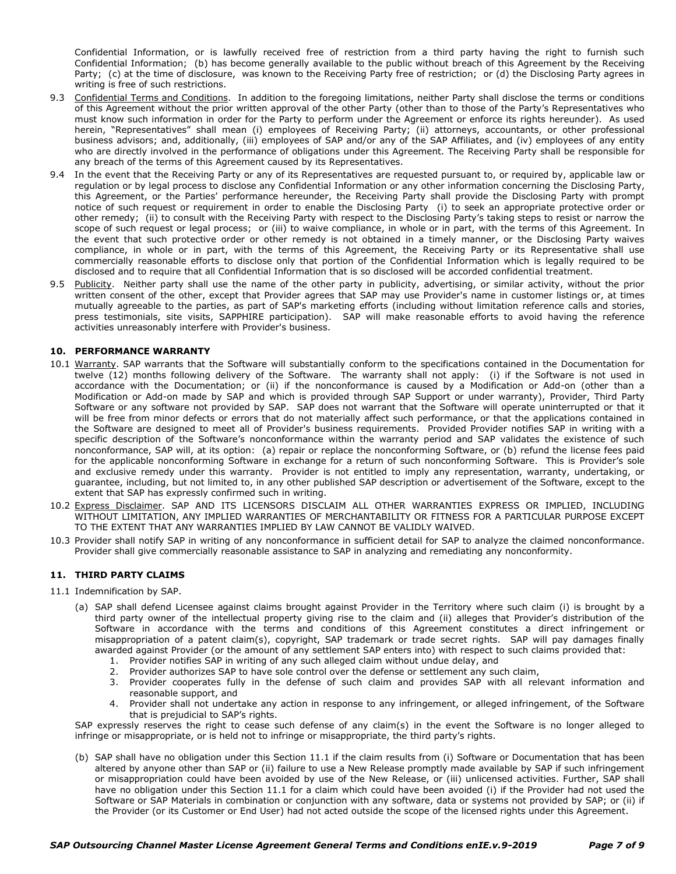Confidential Information, or is lawfully received free of restriction from a third party having the right to furnish such Confidential Information; (b) has become generally available to the public without breach of this Agreement by the Receiving Party; (c) at the time of disclosure, was known to the Receiving Party free of restriction; or (d) the Disclosing Party agrees in writing is free of such restrictions.

- 9.3 Confidential Terms and Conditions. In addition to the foregoing limitations, neither Party shall disclose the terms or conditions of this Agreement without the prior written approval of the other Party (other than to those of the Party's Representatives who must know such information in order for the Party to perform under the Agreement or enforce its rights hereunder). As used herein, "Representatives" shall mean (i) employees of Receiving Party; (ii) attorneys, accountants, or other professional business advisors; and, additionally, (iii) employees of SAP and/or any of the SAP Affiliates, and (iv) employees of any entity who are directly involved in the performance of obligations under this Agreement. The Receiving Party shall be responsible for any breach of the terms of this Agreement caused by its Representatives.
- 9.4 In the event that the Receiving Party or any of its Representatives are requested pursuant to, or required by, applicable law or regulation or by legal process to disclose any Confidential Information or any other information concerning the Disclosing Party, this Agreement, or the Parties' performance hereunder, the Receiving Party shall provide the Disclosing Party with prompt notice of such request or requirement in order to enable the Disclosing Party (i) to seek an appropriate protective order or other remedy; (ii) to consult with the Receiving Party with respect to the Disclosing Party's taking steps to resist or narrow the scope of such request or legal process; or (iii) to waive compliance, in whole or in part, with the terms of this Agreement. In the event that such protective order or other remedy is not obtained in a timely manner, or the Disclosing Party waives compliance, in whole or in part, with the terms of this Agreement, the Receiving Party or its Representative shall use commercially reasonable efforts to disclose only that portion of the Confidential Information which is legally required to be disclosed and to require that all Confidential Information that is so disclosed will be accorded confidential treatment.
- 9.5 Publicity. Neither party shall use the name of the other party in publicity, advertising, or similar activity, without the prior written consent of the other, except that Provider agrees that SAP may use Provider's name in customer listings or, at times mutually agreeable to the parties, as part of SAP's marketing efforts (including without limitation reference calls and stories, press testimonials, site visits, SAPPHIRE participation). SAP will make reasonable efforts to avoid having the reference activities unreasonably interfere with Provider's business.

#### **10. PERFORMANCE WARRANTY**

- 10.1 Warranty. SAP warrants that the Software will substantially conform to the specifications contained in the Documentation for twelve (12) months following delivery of the Software. The warranty shall not apply: (i) if the Software is not used in accordance with the Documentation; or (ii) if the nonconformance is caused by a Modification or Add-on (other than a Modification or Add-on made by SAP and which is provided through SAP Support or under warranty), Provider, Third Party Software or any software not provided by SAP. SAP does not warrant that the Software will operate uninterrupted or that it will be free from minor defects or errors that do not materially affect such performance, or that the applications contained in the Software are designed to meet all of Provider's business requirements. Provided Provider notifies SAP in writing with a specific description of the Software's nonconformance within the warranty period and SAP validates the existence of such nonconformance, SAP will, at its option: (a) repair or replace the nonconforming Software, or (b) refund the license fees paid for the applicable nonconforming Software in exchange for a return of such nonconforming Software. This is Provider's sole and exclusive remedy under this warranty. Provider is not entitled to imply any representation, warranty, undertaking, or guarantee, including, but not limited to, in any other published SAP description or advertisement of the Software, except to the extent that SAP has expressly confirmed such in writing.
- 10.2 Express Disclaimer. SAP AND ITS LICENSORS DISCLAIM ALL OTHER WARRANTIES EXPRESS OR IMPLIED, INCLUDING WITHOUT LIMITATION, ANY IMPLIED WARRANTIES OF MERCHANTABILITY OR FITNESS FOR A PARTICULAR PURPOSE EXCEPT TO THE EXTENT THAT ANY WARRANTIES IMPLIED BY LAW CANNOT BE VALIDLY WAIVED.
- 10.3 Provider shall notify SAP in writing of any nonconformance in sufficient detail for SAP to analyze the claimed nonconformance. Provider shall give commercially reasonable assistance to SAP in analyzing and remediating any nonconformity.

#### **11. THIRD PARTY CLAIMS**

- 11.1 Indemnification by SAP.
	- (a) SAP shall defend Licensee against claims brought against Provider in the Territory where such claim (i) is brought by a third party owner of the intellectual property giving rise to the claim and (ii) alleges that Provider's distribution of the Software in accordance with the terms and conditions of this Agreement constitutes a direct infringement or misappropriation of a patent claim(s), copyright, SAP trademark or trade secret rights. SAP will pay damages finally awarded against Provider (or the amount of any settlement SAP enters into) with respect to such claims provided that:
		- 1. Provider notifies SAP in writing of any such alleged claim without undue delay, and
		- 2. Provider authorizes SAP to have sole control over the defense or settlement any such claim,
		- 3. Provider cooperates fully in the defense of such claim and provides SAP with all relevant information and reasonable support, and
		- 4. Provider shall not undertake any action in response to any infringement, or alleged infringement, of the Software that is prejudicial to SAP's rights.

SAP expressly reserves the right to cease such defense of any claim(s) in the event the Software is no longer alleged to infringe or misappropriate, or is held not to infringe or misappropriate, the third party's rights.

(b) SAP shall have no obligation under this Section 11.1 if the claim results from (i) Software or Documentation that has been altered by anyone other than SAP or (ii) failure to use a New Release promptly made available by SAP if such infringement or misappropriation could have been avoided by use of the New Release, or (iii) unlicensed activities. Further, SAP shall have no obligation under this Section 11.1 for a claim which could have been avoided (i) if the Provider had not used the Software or SAP Materials in combination or conjunction with any software, data or systems not provided by SAP; or (ii) if the Provider (or its Customer or End User) had not acted outside the scope of the licensed rights under this Agreement.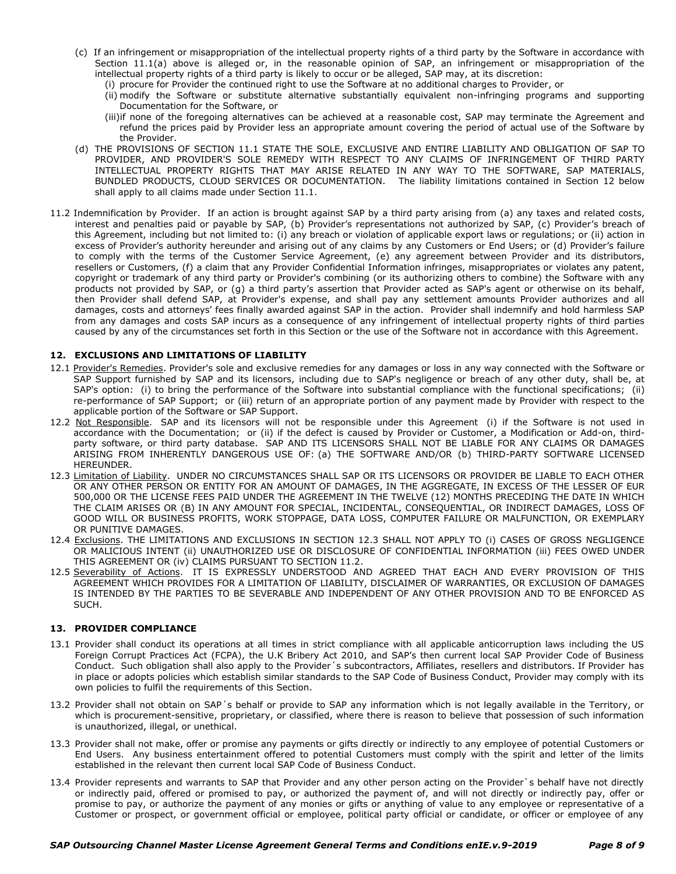- (c) If an infringement or misappropriation of the intellectual property rights of a third party by the Software in accordance with Section 11.1(a) above is alleged or, in the reasonable opinion of SAP, an infringement or misappropriation of the intellectual property rights of a third party is likely to occur or be alleged, SAP may, at its discretion:
	- (i) procure for Provider the continued right to use the Software at no additional charges to Provider, or
	- (ii) modify the Software or substitute alternative substantially equivalent non-infringing programs and supporting Documentation for the Software, or
	- (iii)if none of the foregoing alternatives can be achieved at a reasonable cost, SAP may terminate the Agreement and refund the prices paid by Provider less an appropriate amount covering the period of actual use of the Software by the Provider.
- (d) THE PROVISIONS OF SECTION 11.1 STATE THE SOLE, EXCLUSIVE AND ENTIRE LIABILITY AND OBLIGATION OF SAP TO PROVIDER, AND PROVIDER'S SOLE REMEDY WITH RESPECT TO ANY CLAIMS OF INFRINGEMENT OF THIRD PARTY INTELLECTUAL PROPERTY RIGHTS THAT MAY ARISE RELATED IN ANY WAY TO THE SOFTWARE, SAP MATERIALS, BUNDLED PRODUCTS, CLOUD SERVICES OR DOCUMENTATION. The liability limitations contained in Section 12 below shall apply to all claims made under Section 11.1.
- 11.2 Indemnification by Provider. If an action is brought against SAP by a third party arising from (a) any taxes and related costs, interest and penalties paid or payable by SAP, (b) Provider's representations not authorized by SAP, (c) Provider's breach of this Agreement, including but not limited to: (i) any breach or violation of applicable export laws or regulations; or (ii) action in excess of Provider's authority hereunder and arising out of any claims by any Customers or End Users; or (d) Provider's failure to comply with the terms of the Customer Service Agreement, (e) any agreement between Provider and its distributors, resellers or Customers, (f) a claim that any Provider Confidential Information infringes, misappropriates or violates any patent, copyright or trademark of any third party or Provider's combining (or its authorizing others to combine) the Software with any products not provided by SAP, or (g) a third party's assertion that Provider acted as SAP's agent or otherwise on its behalf, then Provider shall defend SAP, at Provider's expense, and shall pay any settlement amounts Provider authorizes and all damages, costs and attorneys' fees finally awarded against SAP in the action. Provider shall indemnify and hold harmless SAP from any damages and costs SAP incurs as a consequence of any infringement of intellectual property rights of third parties caused by any of the circumstances set forth in this Section or the use of the Software not in accordance with this Agreement.

### **12. EXCLUSIONS AND LIMITATIONS OF LIABILITY**

- 12.1 Provider's Remedies. Provider's sole and exclusive remedies for any damages or loss in any way connected with the Software or SAP Support furnished by SAP and its licensors, including due to SAP's negligence or breach of any other duty, shall be, at SAP's option: (i) to bring the performance of the Software into substantial compliance with the functional specifications; (ii) re-performance of SAP Support; or (iii) return of an appropriate portion of any payment made by Provider with respect to the applicable portion of the Software or SAP Support.
- 12.2 Not Responsible. SAP and its licensors will not be responsible under this Agreement (i) if the Software is not used in accordance with the Documentation; or (ii) if the defect is caused by Provider or Customer, a Modification or Add-on, thirdparty software, or third party database. SAP AND ITS LICENSORS SHALL NOT BE LIABLE FOR ANY CLAIMS OR DAMAGES ARISING FROM INHERENTLY DANGEROUS USE OF: (a) THE SOFTWARE AND/OR (b) THIRD-PARTY SOFTWARE LICENSED HEREUNDER.
- 12.3 Limitation of Liability. UNDER NO CIRCUMSTANCES SHALL SAP OR ITS LICENSORS OR PROVIDER BE LIABLE TO EACH OTHER OR ANY OTHER PERSON OR ENTITY FOR AN AMOUNT OF DAMAGES, IN THE AGGREGATE, IN EXCESS OF THE LESSER OF EUR 500,000 OR THE LICENSE FEES PAID UNDER THE AGREEMENT IN THE TWELVE (12) MONTHS PRECEDING THE DATE IN WHICH THE CLAIM ARISES OR (B) IN ANY AMOUNT FOR SPECIAL, INCIDENTAL, CONSEQUENTIAL, OR INDIRECT DAMAGES, LOSS OF GOOD WILL OR BUSINESS PROFITS, WORK STOPPAGE, DATA LOSS, COMPUTER FAILURE OR MALFUNCTION, OR EXEMPLARY OR PUNITIVE DAMAGES.
- 12.4 Exclusions. THE LIMITATIONS AND EXCLUSIONS IN SECTION 12.3 SHALL NOT APPLY TO (i) CASES OF GROSS NEGLIGENCE OR MALICIOUS INTENT (ii) UNAUTHORIZED USE OR DISCLOSURE OF CONFIDENTIAL INFORMATION (iii) FEES OWED UNDER THIS AGREEMENT OR (iv) CLAIMS PURSUANT TO SECTION 11.2.
- 12.5 Severability of Actions. IT IS EXPRESSLY UNDERSTOOD AND AGREED THAT EACH AND EVERY PROVISION OF THIS AGREEMENT WHICH PROVIDES FOR A LIMITATION OF LIABILITY, DISCLAIMER OF WARRANTIES, OR EXCLUSION OF DAMAGES IS INTENDED BY THE PARTIES TO BE SEVERABLE AND INDEPENDENT OF ANY OTHER PROVISION AND TO BE ENFORCED AS SUCH.

#### **13. PROVIDER COMPLIANCE**

- 13.1 Provider shall conduct its operations at all times in strict compliance with all applicable anticorruption laws including the US Foreign Corrupt Practices Act (FCPA), the U.K Bribery Act 2010, and SAP's then current local SAP Provider Code of Business Conduct. Such obligation shall also apply to the Provider´s subcontractors, Affiliates, resellers and distributors. If Provider has in place or adopts policies which establish similar standards to the SAP Code of Business Conduct, Provider may comply with its own policies to fulfil the requirements of this Section.
- 13.2 Provider shall not obtain on SAP´s behalf or provide to SAP any information which is not legally available in the Territory, or which is procurement-sensitive, proprietary, or classified, where there is reason to believe that possession of such information is unauthorized, illegal, or unethical.
- 13.3 Provider shall not make, offer or promise any payments or gifts directly or indirectly to any employee of potential Customers or End Users. Any business entertainment offered to potential Customers must comply with the spirit and letter of the limits established in the relevant then current local SAP Code of Business Conduct.
- 13.4 Provider represents and warrants to SAP that Provider and any other person acting on the Provider`s behalf have not directly or indirectly paid, offered or promised to pay, or authorized the payment of, and will not directly or indirectly pay, offer or promise to pay, or authorize the payment of any monies or gifts or anything of value to any employee or representative of a Customer or prospect, or government official or employee, political party official or candidate, or officer or employee of any